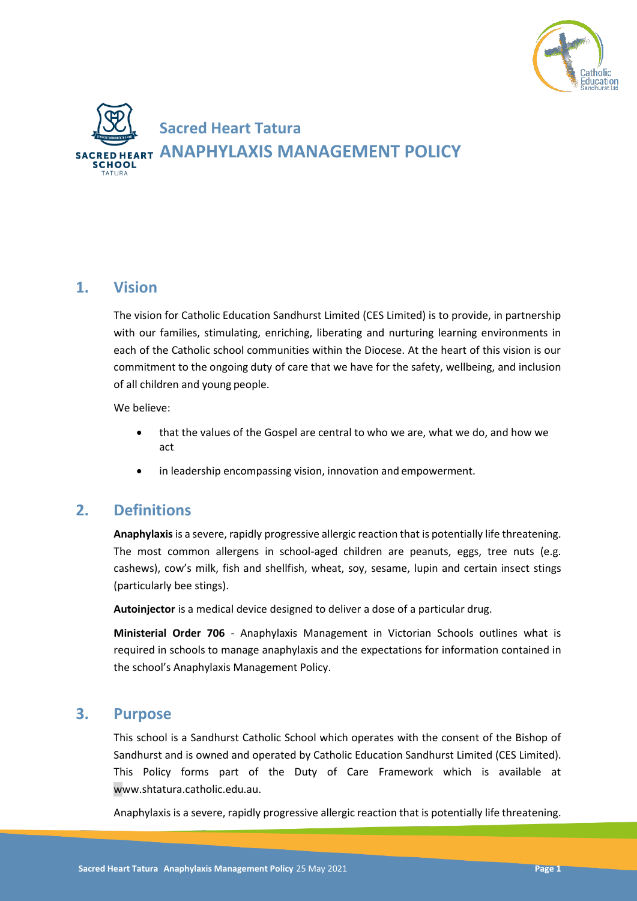



## **1. Vision**

The vision for Catholic Education Sandhurst Limited (CES Limited) is to provide, in partnership with our families, stimulating, enriching, liberating and nurturing learning environments in each of the Catholic school communities within the Diocese. At the heart of this vision is our commitment to the ongoing duty of care that we have for the safety, wellbeing, and inclusion of all children and young people.

We believe:

- that the values of the Gospel are central to who we are, what we do, and how we act
- in leadership encompassing vision, innovation and empowerment.

# **2. Definitions**

**Anaphylaxis**is a severe, rapidly progressive allergic reaction that is potentially life threatening. The most common allergens in school-aged children are peanuts, eggs, tree nuts (e.g. cashews), cow's milk, fish and shellfish, wheat, soy, sesame, lupin and certain insect stings (particularly bee stings).

**Autoinjector** is a medical device designed to deliver a dose of a particular drug.

**Ministerial Order 706** - Anaphylaxis Management in Victorian Schools outlines what is required in schools to manage anaphylaxis and the expectations for information contained in the school's Anaphylaxis Management Policy.

## **3. Purpose**

This school is a Sandhurst Catholic School which operates with the consent of the Bishop of Sandhurst and is owned and operated by Catholic Education Sandhurst Limited (CES Limited). This Policy forms part of the Duty of Care Framework which is available at www.shtatura.catholic.edu.au.

Anaphylaxis is a severe, rapidly progressive allergic reaction that is potentially life threatening.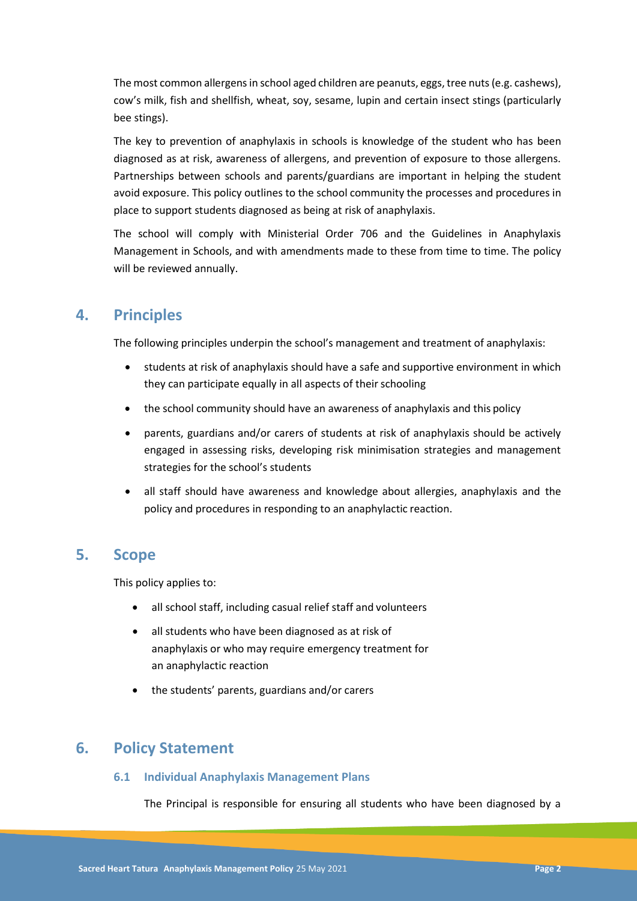The most common allergens in school aged children are peanuts, eggs, tree nuts (e.g. cashews), cow's milk, fish and shellfish, wheat, soy, sesame, lupin and certain insect stings (particularly bee stings).

The key to prevention of anaphylaxis in schools is knowledge of the student who has been diagnosed as at risk, awareness of allergens, and prevention of exposure to those allergens. Partnerships between schools and parents/guardians are important in helping the student avoid exposure. This policy outlines to the school community the processes and procedures in place to support students diagnosed as being at risk of anaphylaxis.

The school will comply with Ministerial Order 706 and the Guidelines in Anaphylaxis Management in Schools, and with amendments made to these from time to time. The policy will be reviewed annually.

# **4. Principles**

The following principles underpin the school's management and treatment of anaphylaxis:

- students at risk of anaphylaxis should have a safe and supportive environment in which they can participate equally in all aspects of their schooling
- the school community should have an awareness of anaphylaxis and this policy
- parents, guardians and/or carers of students at risk of anaphylaxis should be actively engaged in assessing risks, developing risk minimisation strategies and management strategies for the school's students
- all staff should have awareness and knowledge about allergies, anaphylaxis and the policy and procedures in responding to an anaphylactic reaction.

## **5. Scope**

This policy applies to:

- all school staff, including casual relief staff and volunteers
- all students who have been diagnosed as at risk of anaphylaxis or who may require emergency treatment for an anaphylactic reaction
- the students' parents, guardians and/or carers

# **6. Policy Statement**

## **6.1 Individual Anaphylaxis Management Plans**

The Principal is responsible for ensuring all students who have been diagnosed by a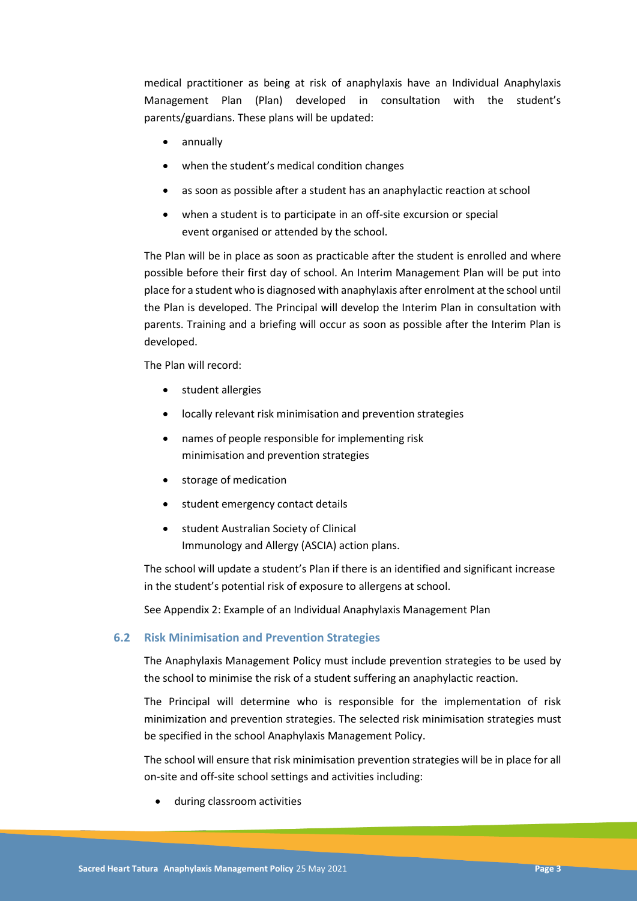medical practitioner as being at risk of anaphylaxis have an Individual Anaphylaxis Management Plan (Plan) developed in consultation with the student's parents/guardians. These plans will be updated:

- annually
- when the student's medical condition changes
- as soon as possible after a student has an anaphylactic reaction at school
- when a student is to participate in an off-site excursion or special event organised or attended by the school.

The Plan will be in place as soon as practicable after the student is enrolled and where possible before their first day of school. An Interim Management Plan will be put into place for a student who is diagnosed with anaphylaxis after enrolment at the school until the Plan is developed. The Principal will develop the Interim Plan in consultation with parents. Training and a briefing will occur as soon as possible after the Interim Plan is developed.

The Plan will record:

- student allergies
- locally relevant risk minimisation and prevention strategies
- names of people responsible for implementing risk minimisation and prevention strategies
- storage of medication
- student emergency contact details
- student Australian Society of Clinical Immunology and Allergy (ASCIA) action plans.

The school will update a student's Plan if there is an identified and significant increase in the student's potential risk of exposure to allergens at school.

See Appendix 2: Example of an Individual Anaphylaxis Management Plan

### **6.2 Risk Minimisation and Prevention Strategies**

The Anaphylaxis Management Policy must include prevention strategies to be used by the school to minimise the risk of a student suffering an anaphylactic reaction.

The Principal will determine who is responsible for the implementation of risk minimization and prevention strategies. The selected risk minimisation strategies must be specified in the school Anaphylaxis Management Policy.

The school will ensure that risk minimisation prevention strategies will be in place for all on-site and off-site school settings and activities including:

during classroom activities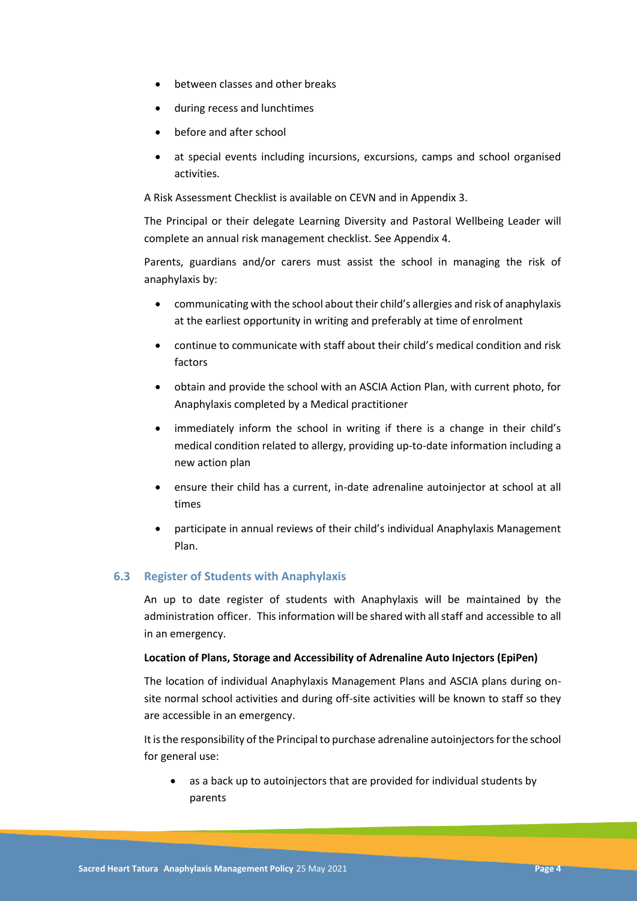- between classes and other breaks
- during recess and lunchtimes
- before and after school
- at special events including incursions, excursions, camps and school organised activities.

A Risk Assessment Checklist is available on CEVN and in Appendix 3.

The Principal or their delegate Learning Diversity and Pastoral Wellbeing Leader will complete an annual risk management checklist. See Appendix 4.

Parents, guardians and/or carers must assist the school in managing the risk of anaphylaxis by:

- communicating with the school about their child's allergies and risk of anaphylaxis at the earliest opportunity in writing and preferably at time of enrolment
- continue to communicate with staff about their child's medical condition and risk factors
- obtain and provide the school with an ASCIA Action Plan, with current photo, for Anaphylaxis completed by a Medical practitioner
- immediately inform the school in writing if there is a change in their child's medical condition related to allergy, providing up-to-date information including a new action plan
- ensure their child has a current, in-date adrenaline autoinjector at school at all times
- participate in annual reviews of their child's individual Anaphylaxis Management Plan.

## **6.3 Register of Students with Anaphylaxis**

An up to date register of students with Anaphylaxis will be maintained by the administration officer. Thisinformation will be shared with allstaff and accessible to all in an emergency.

### **Location of Plans, Storage and Accessibility of Adrenaline Auto Injectors (EpiPen)**

The location of individual Anaphylaxis Management Plans and ASCIA plans during onsite normal school activities and during off-site activities will be known to staff so they are accessible in an emergency.

It is the responsibility of the Principal to purchase adrenaline autoinjectors for the school for general use:

 as a back up to autoinjectors that are provided for individual students by parents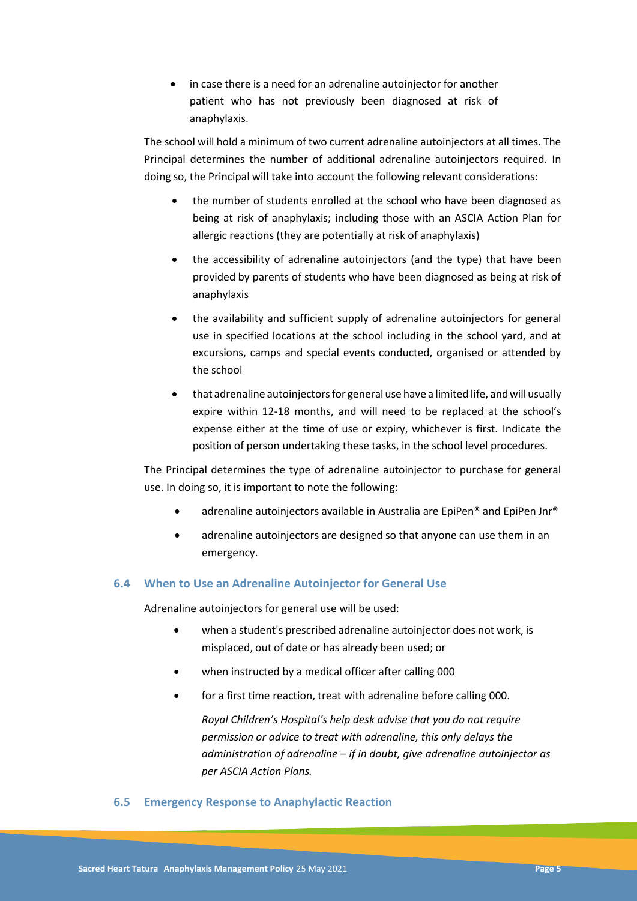• in case there is a need for an adrenaline autoinjector for another patient who has not previously been diagnosed at risk of anaphylaxis.

The school will hold a minimum of two current adrenaline autoinjectors at all times. The Principal determines the number of additional adrenaline autoinjectors required. In doing so, the Principal will take into account the following relevant considerations:

- the number of students enrolled at the school who have been diagnosed as being at risk of anaphylaxis; including those with an ASCIA Action Plan for allergic reactions (they are potentially at risk of anaphylaxis)
- the accessibility of adrenaline autoinjectors (and the type) that have been provided by parents of students who have been diagnosed as being at risk of anaphylaxis
- the availability and sufficient supply of adrenaline autoinjectors for general use in specified locations at the school including in the school yard, and at excursions, camps and special events conducted, organised or attended by the school
- that adrenaline autoinjectors for general use have a limited life, and will usually expire within 12-18 months, and will need to be replaced at the school's expense either at the time of use or expiry, whichever is first. Indicate the position of person undertaking these tasks, in the school level procedures.

The Principal determines the type of adrenaline autoinjector to purchase for general use. In doing so, it is important to note the following:

- adrenaline autoinjectors available in Australia are EpiPen® and EpiPen Jnr®
- adrenaline autoinjectors are designed so that anyone can use them in an emergency.

## **6.4 When to Use an Adrenaline Autoinjector for General Use**

Adrenaline autoinjectors for general use will be used:

- when a student's prescribed adrenaline autoinjector does not work, is misplaced, out of date or has already been used; or
- when instructed by a medical officer after calling 000
- for a first time reaction, treat with adrenaline before calling 000.

*Royal Children's Hospital's help desk advise that you do not require permission or advice to treat with adrenaline, this only delays the administration of adrenaline – if in doubt, give adrenaline autoinjector as per ASCIA Action Plans.*

### **6.5 Emergency Response to Anaphylactic Reaction**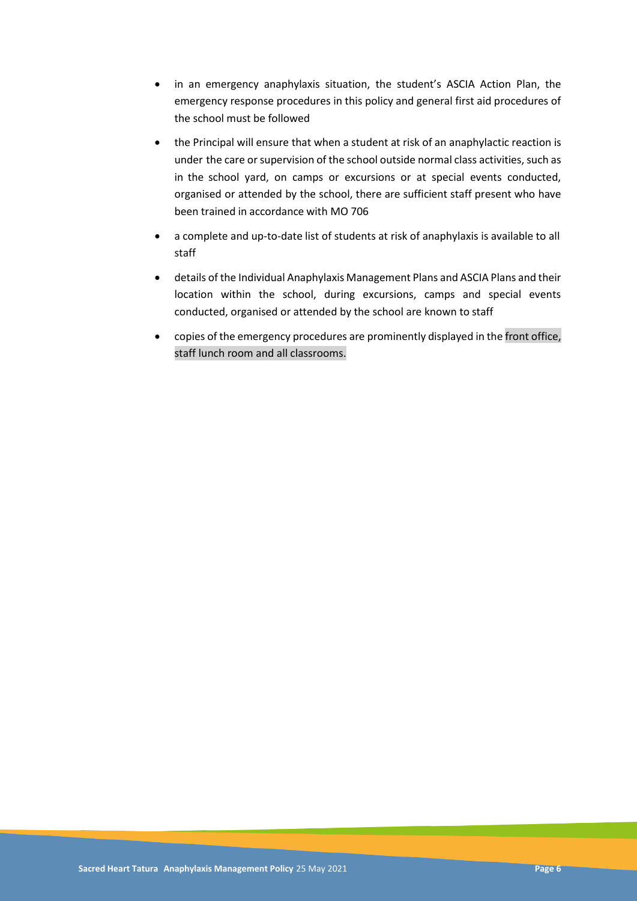- in an emergency anaphylaxis situation, the student's ASCIA Action Plan, the emergency response procedures in this policy and general first aid procedures of the school must be followed
- the Principal will ensure that when a student at risk of an anaphylactic reaction is under the care or supervision of the school outside normal class activities, such as in the school yard, on camps or excursions or at special events conducted, organised or attended by the school, there are sufficient staff present who have been trained in accordance with MO 706
- a complete and up-to-date list of students at risk of anaphylaxis is available to all staff
- details of the Individual Anaphylaxis Management Plans and ASCIA Plans and their location within the school, during excursions, camps and special events conducted, organised or attended by the school are known to staff
- copies of the emergency procedures are prominently displayed in the front office, staff lunch room and all classrooms.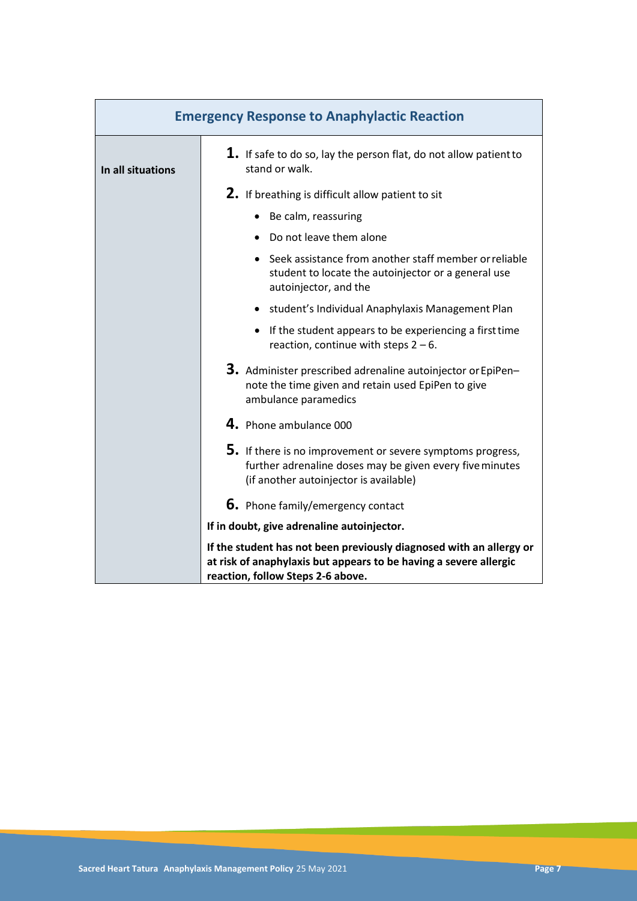| <b>Emergency Response to Anaphylactic Reaction</b> |                                                                                                                                                                               |
|----------------------------------------------------|-------------------------------------------------------------------------------------------------------------------------------------------------------------------------------|
| In all situations                                  | $\mathbf 1$ . If safe to do so, lay the person flat, do not allow patient to<br>stand or walk.                                                                                |
|                                                    | 2. If breathing is difficult allow patient to sit                                                                                                                             |
|                                                    | • Be calm, reassuring                                                                                                                                                         |
|                                                    | • Do not leave them alone                                                                                                                                                     |
|                                                    | • Seek assistance from another staff member or reliable<br>student to locate the autoinjector or a general use<br>autoinjector, and the                                       |
|                                                    | • student's Individual Anaphylaxis Management Plan                                                                                                                            |
|                                                    | • If the student appears to be experiencing a first time<br>reaction, continue with steps $2 - 6$ .                                                                           |
|                                                    | 3. Administer prescribed adrenaline autoinjector or EpiPen-<br>note the time given and retain used EpiPen to give<br>ambulance paramedics                                     |
|                                                    | 4. Phone ambulance 000                                                                                                                                                        |
|                                                    | 5. If there is no improvement or severe symptoms progress,<br>further adrenaline doses may be given every five minutes<br>(if another autoinjector is available)              |
|                                                    | <b>6.</b> Phone family/emergency contact                                                                                                                                      |
|                                                    | If in doubt, give adrenaline autoinjector.                                                                                                                                    |
|                                                    | If the student has not been previously diagnosed with an allergy or<br>at risk of anaphylaxis but appears to be having a severe allergic<br>reaction, follow Steps 2-6 above. |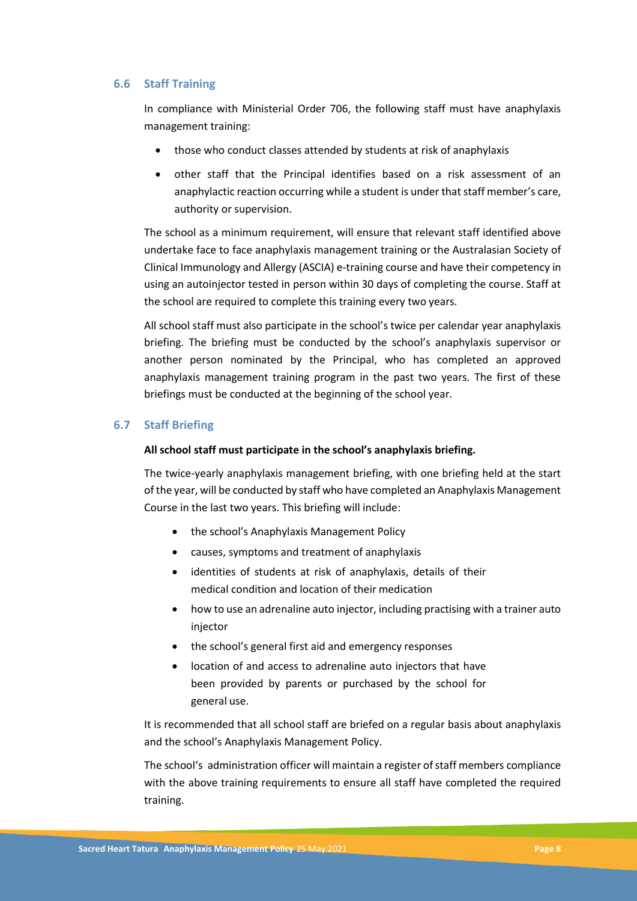#### **6.6 Staff Training**

In compliance with Ministerial Order 706, the following staff must have anaphylaxis management training:

- those who conduct classes attended by students at risk of anaphylaxis
- other staff that the Principal identifies based on a risk assessment of an anaphylactic reaction occurring while a student is under that staff member's care, authority or supervision.

The school as a minimum requirement, will ensure that relevant staff identified above undertake face to face anaphylaxis management training or the Australasian Society of Clinical Immunology and Allergy (ASCIA) e-training course and have their competency in using an autoinjector tested in person within 30 days of completing the course. Staff at the school are required to complete this training every two years.

All school staff must also participate in the school's twice per calendar year anaphylaxis briefing. The briefing must be conducted by the school's anaphylaxis supervisor or another person nominated by the Principal, who has completed an approved anaphylaxis management training program in the past two years. The first of these briefings must be conducted at the beginning of the school year.

#### **6.7 Staff Briefing**

#### **All school staff must participate in the school's anaphylaxis briefing.**

The twice-yearly anaphylaxis management briefing, with one briefing held at the start of the year, will be conducted by staff who have completed an Anaphylaxis Management Course in the last two years. This briefing will include:

- the school's Anaphylaxis Management Policy
- causes, symptoms and treatment of anaphylaxis
- identities of students at risk of anaphylaxis, details of their medical condition and location of their medication
- how to use an adrenaline auto injector, including practising with a trainer auto injector
- the school's general first aid and emergency responses
- location of and access to adrenaline auto injectors that have been provided by parents or purchased by the school for general use.

It is recommended that all school staff are briefed on a regular basis about anaphylaxis and the school's Anaphylaxis Management Policy.

The school's administration officer will maintain a register of staff members compliance with the above training requirements to ensure all staff have completed the required training.